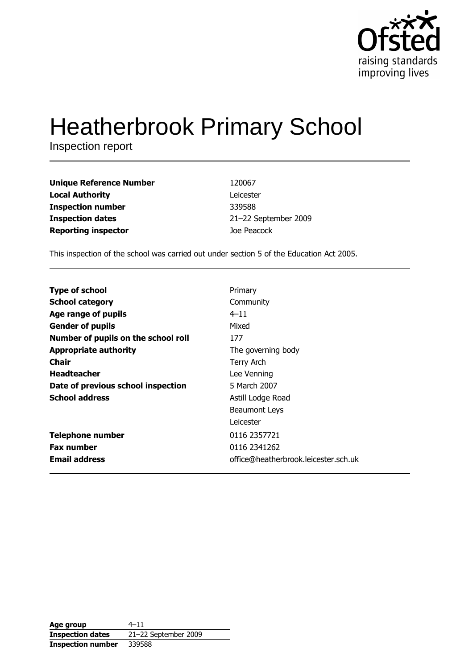

# **Heatherbrook Primary School**

Inspection report

| <b>Unique Reference Number</b> | 120067               |
|--------------------------------|----------------------|
| <b>Local Authority</b>         | Leicester            |
| <b>Inspection number</b>       | 339588               |
| <b>Inspection dates</b>        | 21-22 September 2009 |
| <b>Reporting inspector</b>     | Joe Peacock          |

This inspection of the school was carried out under section 5 of the Education Act 2005.

| <b>Type of school</b>               | Primary                              |
|-------------------------------------|--------------------------------------|
| <b>School category</b>              | Community                            |
| Age range of pupils                 | $4 - 11$                             |
| <b>Gender of pupils</b>             | Mixed                                |
| Number of pupils on the school roll | 177                                  |
| <b>Appropriate authority</b>        | The governing body                   |
| Chair                               | Terry Arch                           |
| <b>Headteacher</b>                  | Lee Venning                          |
| Date of previous school inspection  | 5 March 2007                         |
| <b>School address</b>               | Astill Lodge Road                    |
|                                     | Beaumont Leys                        |
|                                     | Leicester                            |
| <b>Telephone number</b>             | 0116 2357721                         |
| <b>Fax number</b>                   | 0116 2341262                         |
| <b>Email address</b>                | office@heatherbrook.leicester.sch.uk |
|                                     |                                      |

| Age group                | $4 - 11$             |
|--------------------------|----------------------|
| <b>Inspection dates</b>  | 21-22 September 2009 |
| <b>Inspection number</b> | 339588               |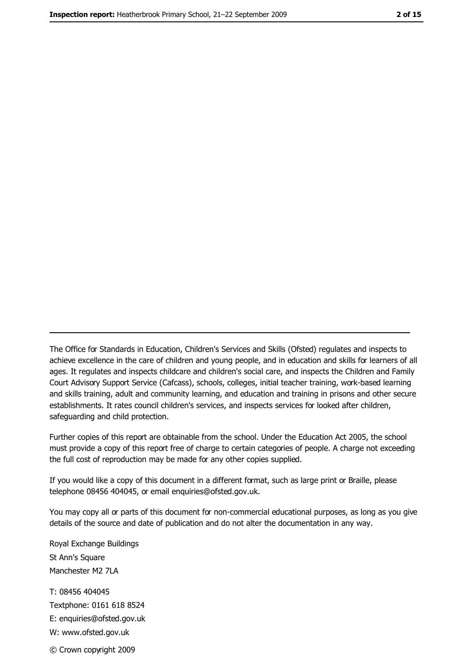The Office for Standards in Education, Children's Services and Skills (Ofsted) regulates and inspects to achieve excellence in the care of children and young people, and in education and skills for learners of all ages. It regulates and inspects childcare and children's social care, and inspects the Children and Family Court Advisory Support Service (Cafcass), schools, colleges, initial teacher training, work-based learning and skills training, adult and community learning, and education and training in prisons and other secure establishments. It rates council children's services, and inspects services for looked after children, safequarding and child protection.

Further copies of this report are obtainable from the school. Under the Education Act 2005, the school must provide a copy of this report free of charge to certain categories of people. A charge not exceeding the full cost of reproduction may be made for any other copies supplied.

If you would like a copy of this document in a different format, such as large print or Braille, please telephone 08456 404045, or email enquiries@ofsted.gov.uk.

You may copy all or parts of this document for non-commercial educational purposes, as long as you give details of the source and date of publication and do not alter the documentation in any way.

Royal Exchange Buildings St Ann's Square Manchester M2 7LA T: 08456 404045 Textphone: 0161 618 8524 E: enquiries@ofsted.gov.uk W: www.ofsted.gov.uk © Crown copyright 2009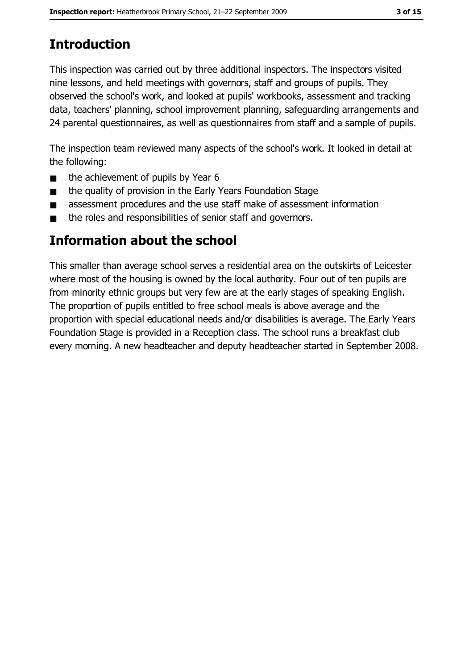# **Introduction**

This inspection was carried out by three additional inspectors. The inspectors visited nine lessons, and held meetings with governors, staff and groups of pupils. They observed the school's work, and looked at pupils' workbooks, assessment and tracking data, teachers' planning, school improvement planning, safeguarding arrangements and 24 parental questionnaires, as well as questionnaires from staff and a sample of pupils.

The inspection team reviewed many aspects of the school's work. It looked in detail at the following:

- the achievement of pupils by Year 6  $\blacksquare$
- the quality of provision in the Early Years Foundation Stage  $\blacksquare$
- assessment procedures and the use staff make of assessment information  $\blacksquare$
- the roles and responsibilities of senior staff and governors.  $\blacksquare$

## Information about the school

This smaller than average school serves a residential area on the outskirts of Leicester where most of the housing is owned by the local authority. Four out of ten pupils are from minority ethnic groups but very few are at the early stages of speaking English. The proportion of pupils entitled to free school meals is above average and the proportion with special educational needs and/or disabilities is average. The Early Years Foundation Stage is provided in a Reception class. The school runs a breakfast club every morning. A new headteacher and deputy headteacher started in September 2008.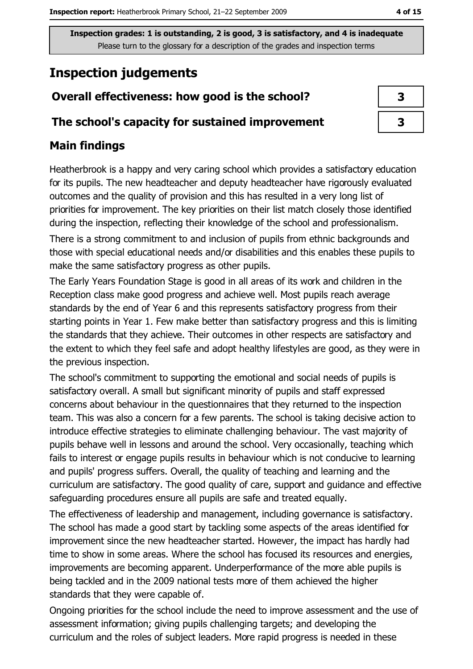## **Inspection judgements**

## Overall effectiveness: how good is the school?

## The school's capacity for sustained improvement

## **Main findings**

Heatherbrook is a happy and very caring school which provides a satisfactory education for its pupils. The new headteacher and deputy headteacher have rigorously evaluated outcomes and the quality of provision and this has resulted in a very long list of priorities for improvement. The key priorities on their list match closely those identified during the inspection, reflecting their knowledge of the school and professionalism.

There is a strong commitment to and inclusion of pupils from ethnic backgrounds and those with special educational needs and/or disabilities and this enables these pupils to make the same satisfactory progress as other pupils.

The Early Years Foundation Stage is good in all areas of its work and children in the Reception class make good progress and achieve well. Most pupils reach average standards by the end of Year 6 and this represents satisfactory progress from their starting points in Year 1. Few make better than satisfactory progress and this is limiting the standards that they achieve. Their outcomes in other respects are satisfactory and the extent to which they feel safe and adopt healthy lifestyles are good, as they were in the previous inspection.

The school's commitment to supporting the emotional and social needs of pupils is satisfactory overall. A small but significant minority of pupils and staff expressed concerns about behaviour in the questionnaires that they returned to the inspection team. This was also a concern for a few parents. The school is taking decisive action to introduce effective strategies to eliminate challenging behaviour. The vast majority of pupils behave well in lessons and around the school. Very occasionally, teaching which fails to interest or engage pupils results in behaviour which is not conducive to learning and pupils' progress suffers. Overall, the quality of teaching and learning and the curriculum are satisfactory. The good quality of care, support and quidance and effective safeguarding procedures ensure all pupils are safe and treated equally.

The effectiveness of leadership and management, including governance is satisfactory. The school has made a good start by tackling some aspects of the areas identified for improvement since the new headteacher started. However, the impact has hardly had time to show in some areas. Where the school has focused its resources and energies, improvements are becoming apparent. Underperformance of the more able pupils is being tackled and in the 2009 national tests more of them achieved the higher standards that they were capable of.

Ongoing priorities for the school include the need to improve assessment and the use of assessment information; giving pupils challenging targets; and developing the curriculum and the roles of subject leaders. More rapid progress is needed in these

| 3 |  |
|---|--|
| 3 |  |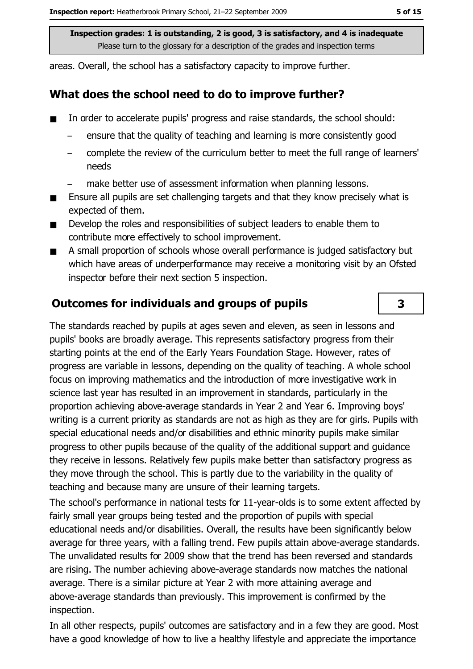areas. Overall, the school has a satisfactory capacity to improve further.

## What does the school need to do to improve further?

- In order to accelerate pupils' progress and raise standards, the school should:
	- ensure that the quality of teaching and learning is more consistently good
	- complete the review of the curriculum better to meet the full range of learners' needs
	- make better use of assessment information when planning lessons.
- Ensure all pupils are set challenging targets and that they know precisely what is  $\blacksquare$ expected of them.
- Develop the roles and responsibilities of subject leaders to enable them to . contribute more effectively to school improvement.
- A small proportion of schools whose overall performance is judged satisfactory but  $\blacksquare$ which have areas of underperformance may receive a monitoring visit by an Ofsted inspector before their next section 5 inspection.

## **Outcomes for individuals and groups of pupils**

The standards reached by pupils at ages seven and eleven, as seen in lessons and pupils' books are broadly average. This represents satisfactory progress from their starting points at the end of the Early Years Foundation Stage. However, rates of progress are variable in lessons, depending on the quality of teaching. A whole school focus on improving mathematics and the introduction of more investigative work in science last year has resulted in an improvement in standards, particularly in the proportion achieving above-average standards in Year 2 and Year 6. Improving boys' writing is a current priority as standards are not as high as they are for girls. Pupils with special educational needs and/or disabilities and ethnic minority pupils make similar progress to other pupils because of the quality of the additional support and quidance they receive in lessons. Relatively few pupils make better than satisfactory progress as they move through the school. This is partly due to the variability in the quality of teaching and because many are unsure of their learning targets.

The school's performance in national tests for 11-year-olds is to some extent affected by fairly small year groups being tested and the proportion of pupils with special educational needs and/or disabilities. Overall, the results have been significantly below average for three years, with a falling trend. Few pupils attain above-average standards. The unvalidated results for 2009 show that the trend has been reversed and standards are rising. The number achieving above-average standards now matches the national average. There is a similar picture at Year 2 with more attaining average and above-average standards than previously. This improvement is confirmed by the inspection.

In all other respects, pupils' outcomes are satisfactory and in a few they are good. Most have a good knowledge of how to live a healthy lifestyle and appreciate the importance

 $\overline{\mathbf{3}}$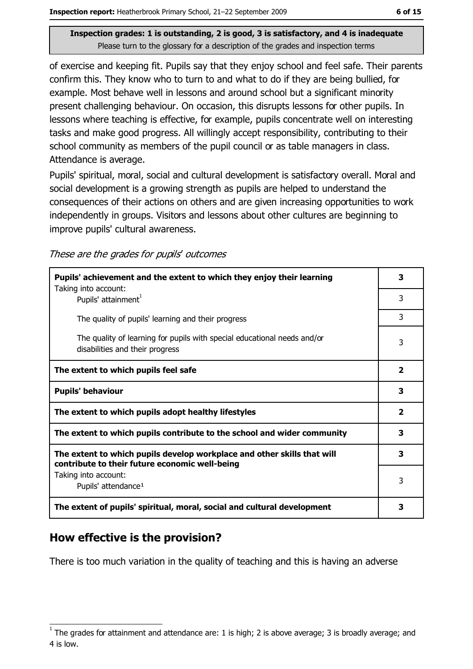of exercise and keeping fit. Pupils say that they enjoy school and feel safe. Their parents confirm this. They know who to turn to and what to do if they are being bullied, for example. Most behave well in lessons and around school but a significant minority present challenging behaviour. On occasion, this disrupts lessons for other pupils. In lessons where teaching is effective, for example, pupils concentrate well on interesting tasks and make good progress. All willingly accept responsibility, contributing to their school community as members of the pupil council or as table managers in class. Attendance is average.

Pupils' spiritual, moral, social and cultural development is satisfactory overall. Moral and social development is a growing strength as pupils are helped to understand the consequences of their actions on others and are given increasing opportunities to work independently in groups. Visitors and lessons about other cultures are beginning to improve pupils' cultural awareness.

These are the grades for pupils' outcomes

| Pupils' achievement and the extent to which they enjoy their learning<br>Taking into account:                             | 3 |
|---------------------------------------------------------------------------------------------------------------------------|---|
| Pupils' attainment <sup>1</sup>                                                                                           | 3 |
| The quality of pupils' learning and their progress                                                                        | 3 |
| The quality of learning for pupils with special educational needs and/or<br>disabilities and their progress               | 3 |
| The extent to which pupils feel safe                                                                                      | 2 |
| <b>Pupils' behaviour</b>                                                                                                  | 3 |
| The extent to which pupils adopt healthy lifestyles                                                                       | 2 |
| The extent to which pupils contribute to the school and wider community                                                   |   |
| The extent to which pupils develop workplace and other skills that will<br>contribute to their future economic well-being | 3 |
| Taking into account:                                                                                                      | 3 |
| Pupils' attendance <sup>1</sup>                                                                                           |   |
| The extent of pupils' spiritual, moral, social and cultural development                                                   | 3 |

## How effective is the provision?

There is too much variation in the quality of teaching and this is having an adverse

The grades for attainment and attendance are: 1 is high; 2 is above average; 3 is broadly average; and 4 is low.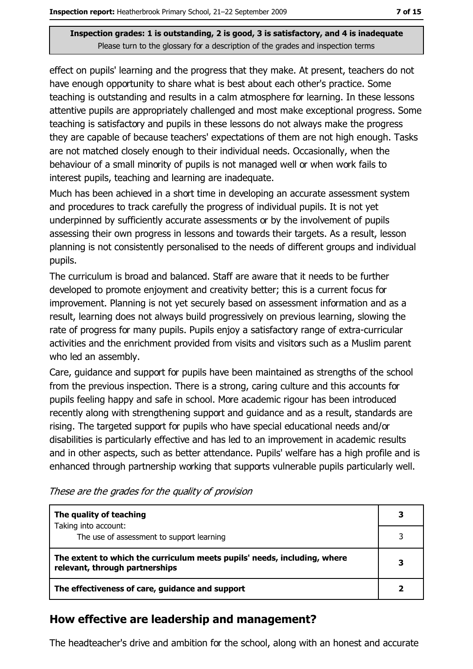effect on pupils' learning and the progress that they make. At present, teachers do not have enough opportunity to share what is best about each other's practice. Some teaching is outstanding and results in a calm atmosphere for learning. In these lessons attentive pupils are appropriately challenged and most make exceptional progress. Some teaching is satisfactory and pupils in these lessons do not always make the progress they are capable of because teachers' expectations of them are not high enough. Tasks are not matched closely enough to their individual needs. Occasionally, when the behaviour of a small minority of pupils is not managed well or when work fails to interest pupils, teaching and learning are inadequate.

Much has been achieved in a short time in developing an accurate assessment system and procedures to track carefully the progress of individual pupils. It is not yet underpinned by sufficiently accurate assessments or by the involvement of pupils assessing their own progress in lessons and towards their targets. As a result, lesson planning is not consistently personalised to the needs of different groups and individual pupils.

The curriculum is broad and balanced. Staff are aware that it needs to be further developed to promote enjoyment and creativity better; this is a current focus for improvement. Planning is not yet securely based on assessment information and as a result, learning does not always build progressively on previous learning, slowing the rate of progress for many pupils. Pupils enjoy a satisfactory range of extra-curricular activities and the enrichment provided from visits and visitors such as a Muslim parent who led an assembly.

Care, quidance and support for pupils have been maintained as strengths of the school from the previous inspection. There is a strong, caring culture and this accounts for pupils feeling happy and safe in school. More academic rigour has been introduced recently along with strengthening support and guidance and as a result, standards are rising. The targeted support for pupils who have special educational needs and/or disabilities is particularly effective and has led to an improvement in academic results and in other aspects, such as better attendance. Pupils' welfare has a high profile and is enhanced through partnership working that supports vulnerable pupils particularly well.

| The quality of teaching                                                                                    | 3 |
|------------------------------------------------------------------------------------------------------------|---|
| Taking into account:<br>The use of assessment to support learning                                          |   |
| The extent to which the curriculum meets pupils' needs, including, where<br>relevant, through partnerships |   |
| The effectiveness of care, guidance and support                                                            |   |

These are the grades for the quality of provision

## How effective are leadership and management?

The headteacher's drive and ambition for the school, along with an honest and accurate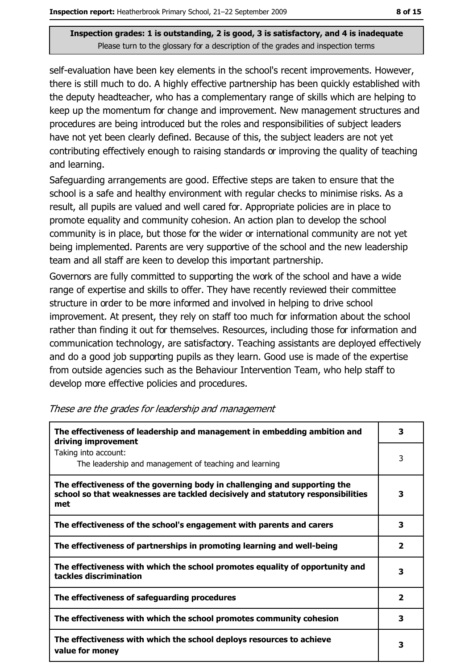self-evaluation have been key elements in the school's recent improvements. However, there is still much to do. A highly effective partnership has been quickly established with the deputy headteacher, who has a complementary range of skills which are helping to keep up the momentum for change and improvement. New management structures and procedures are being introduced but the roles and responsibilities of subject leaders have not yet been clearly defined. Because of this, the subject leaders are not yet contributing effectively enough to raising standards or improving the quality of teaching and learning.

Safequarding arrangements are good. Effective steps are taken to ensure that the school is a safe and healthy environment with regular checks to minimise risks. As a result, all pupils are valued and well cared for. Appropriate policies are in place to promote equality and community cohesion. An action plan to develop the school community is in place, but those for the wider or international community are not yet being implemented. Parents are very supportive of the school and the new leadership team and all staff are keen to develop this important partnership.

Governors are fully committed to supporting the work of the school and have a wide range of expertise and skills to offer. They have recently reviewed their committee structure in order to be more informed and involved in helping to drive school improvement. At present, they rely on staff too much for information about the school rather than finding it out for themselves. Resources, including those for information and communication technology, are satisfactory. Teaching assistants are deployed effectively and do a good job supporting pupils as they learn. Good use is made of the expertise from outside agencies such as the Behaviour Intervention Team, who help staff to develop more effective policies and procedures.

| The effectiveness of leadership and management in embedding ambition and<br>driving improvement                                                                     |                         |
|---------------------------------------------------------------------------------------------------------------------------------------------------------------------|-------------------------|
| Taking into account:<br>The leadership and management of teaching and learning                                                                                      | 3                       |
| The effectiveness of the governing body in challenging and supporting the<br>school so that weaknesses are tackled decisively and statutory responsibilities<br>met | 3                       |
| The effectiveness of the school's engagement with parents and carers                                                                                                | 3                       |
| The effectiveness of partnerships in promoting learning and well-being                                                                                              | 2                       |
| The effectiveness with which the school promotes equality of opportunity and<br>tackles discrimination                                                              | з                       |
| The effectiveness of safeguarding procedures                                                                                                                        | $\overline{\mathbf{2}}$ |
| The effectiveness with which the school promotes community cohesion                                                                                                 | 3                       |
| The effectiveness with which the school deploys resources to achieve<br>value for money                                                                             | 3                       |

These are the grades for leadership and management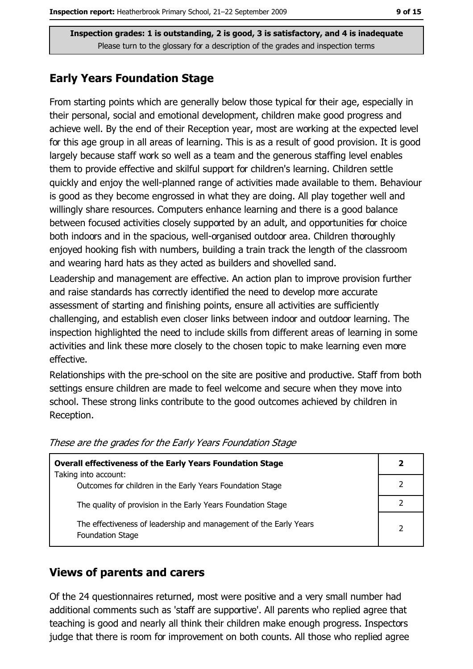## **Early Years Foundation Stage**

From starting points which are generally below those typical for their age, especially in their personal, social and emotional development, children make good progress and achieve well. By the end of their Reception year, most are working at the expected level for this age group in all areas of learning. This is as a result of good provision. It is good largely because staff work so well as a team and the generous staffing level enables them to provide effective and skilful support for children's learning. Children settle quickly and enjoy the well-planned range of activities made available to them. Behaviour is good as they become engrossed in what they are doing. All play together well and willingly share resources. Computers enhance learning and there is a good balance between focused activities closely supported by an adult, and opportunities for choice both indoors and in the spacious, well-organised outdoor area. Children thoroughly enjoyed hooking fish with numbers, building a train track the length of the classroom and wearing hard hats as they acted as builders and shovelled sand.

Leadership and management are effective. An action plan to improve provision further and raise standards has correctly identified the need to develop more accurate assessment of starting and finishing points, ensure all activities are sufficiently challenging, and establish even closer links between indoor and outdoor learning. The inspection highlighted the need to include skills from different areas of learning in some activities and link these more closely to the chosen topic to make learning even more effective.

Relationships with the pre-school on the site are positive and productive. Staff from both settings ensure children are made to feel welcome and secure when they move into school. These strong links contribute to the good outcomes achieved by children in Reception.

| <b>Overall effectiveness of the Early Years Foundation Stage</b>                             | 2 |
|----------------------------------------------------------------------------------------------|---|
| Taking into account:                                                                         |   |
| Outcomes for children in the Early Years Foundation Stage                                    |   |
| The quality of provision in the Early Years Foundation Stage                                 |   |
| The effectiveness of leadership and management of the Early Years<br><b>Foundation Stage</b> | 2 |

These are the grades for the Early Years Foundation Stage

#### **Views of parents and carers**

Of the 24 questionnaires returned, most were positive and a very small number had additional comments such as 'staff are supportive'. All parents who replied agree that teaching is good and nearly all think their children make enough progress. Inspectors judge that there is room for improvement on both counts. All those who replied agree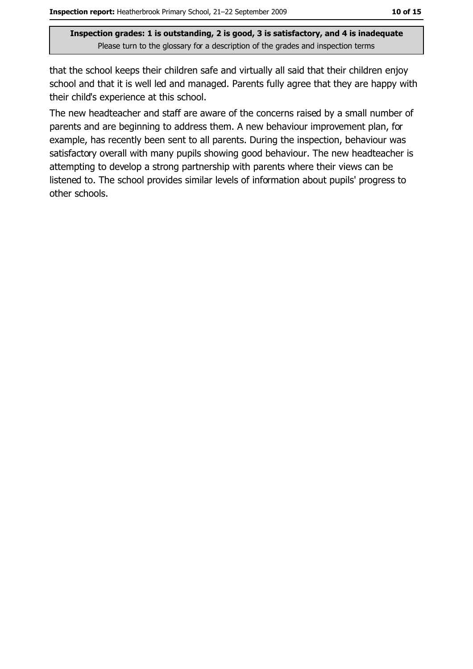that the school keeps their children safe and virtually all said that their children enjoy school and that it is well led and managed. Parents fully agree that they are happy with their child's experience at this school.

The new headteacher and staff are aware of the concerns raised by a small number of parents and are beginning to address them. A new behaviour improvement plan, for example, has recently been sent to all parents. During the inspection, behaviour was satisfactory overall with many pupils showing good behaviour. The new headteacher is attempting to develop a strong partnership with parents where their views can be listened to. The school provides similar levels of information about pupils' progress to other schools.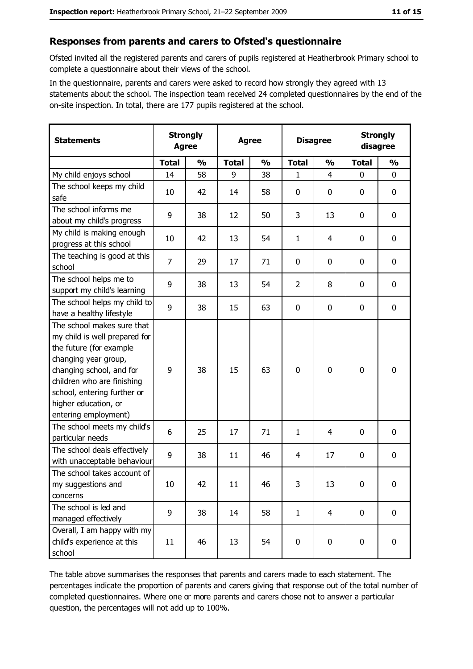#### Responses from parents and carers to Ofsted's questionnaire

Ofsted invited all the registered parents and carers of pupils registered at Heatherbrook Primary school to complete a questionnaire about their views of the school.

In the questionnaire, parents and carers were asked to record how strongly they agreed with 13 statements about the school. The inspection team received 24 completed questionnaires by the end of the on-site inspection. In total, there are 177 pupils registered at the school.

| <b>Statements</b>                                                                                                                                                                                                                                       | <b>Strongly</b><br><b>Agree</b> |               | <b>Agree</b> |               | <b>Disagree</b> |                | <b>Strongly</b><br>disagree |                  |
|---------------------------------------------------------------------------------------------------------------------------------------------------------------------------------------------------------------------------------------------------------|---------------------------------|---------------|--------------|---------------|-----------------|----------------|-----------------------------|------------------|
|                                                                                                                                                                                                                                                         | <b>Total</b>                    | $\frac{0}{0}$ | <b>Total</b> | $\frac{0}{0}$ | <b>Total</b>    | $\frac{0}{0}$  | <b>Total</b>                | $\frac{0}{0}$    |
| My child enjoys school                                                                                                                                                                                                                                  | 14                              | 58            | 9            | 38            | $\mathbf{1}$    | $\overline{4}$ | $\mathbf{0}$                | $\mathbf{0}$     |
| The school keeps my child<br>safe                                                                                                                                                                                                                       | 10                              | 42            | 14           | 58            | $\bf{0}$        | 0              | 0                           | $\mathbf 0$      |
| The school informs me<br>about my child's progress                                                                                                                                                                                                      | 9                               | 38            | 12           | 50            | 3               | 13             | 0                           | 0                |
| My child is making enough<br>progress at this school                                                                                                                                                                                                    | 10                              | 42            | 13           | 54            | $\mathbf{1}$    | 4              | 0                           | $\mathbf 0$      |
| The teaching is good at this<br>school                                                                                                                                                                                                                  | $\overline{7}$                  | 29            | 17           | 71            | $\mathbf 0$     | 0              | 0                           | $\mathbf 0$      |
| The school helps me to<br>support my child's learning                                                                                                                                                                                                   | 9                               | 38            | 13           | 54            | $\overline{2}$  | 8              | 0                           | 0                |
| The school helps my child to<br>have a healthy lifestyle                                                                                                                                                                                                | 9                               | 38            | 15           | 63            | 0               | 0              | 0                           | $\mathbf 0$      |
| The school makes sure that<br>my child is well prepared for<br>the future (for example<br>changing year group,<br>changing school, and for<br>children who are finishing<br>school, entering further or<br>higher education, or<br>entering employment) | 9                               | 38            | 15           | 63            | $\mathbf 0$     | $\mathbf 0$    | $\mathbf 0$                 | $\mathbf 0$      |
| The school meets my child's<br>particular needs                                                                                                                                                                                                         | 6                               | 25            | 17           | 71            | $\mathbf{1}$    | 4              | 0                           | $\mathbf 0$      |
| The school deals effectively<br>with unacceptable behaviour                                                                                                                                                                                             | 9                               | 38            | 11           | 46            | $\overline{4}$  | 17             | 0                           | $\boldsymbol{0}$ |
| The school takes account of<br>my suggestions and<br>concerns                                                                                                                                                                                           | 10                              | 42            | 11           | 46            | 3               | 13             | 0                           | $\bf{0}$         |
| The school is led and<br>managed effectively                                                                                                                                                                                                            | 9                               | 38            | 14           | 58            | $\mathbf{1}$    | $\overline{4}$ | 0                           | $\mathbf 0$      |
| Overall, I am happy with my<br>child's experience at this<br>school                                                                                                                                                                                     | 11                              | 46            | 13           | 54            | $\mathbf 0$     | 0              | 0                           | $\mathbf 0$      |

The table above summarises the responses that parents and carers made to each statement. The percentages indicate the proportion of parents and carers giving that response out of the total number of completed questionnaires. Where one or more parents and carers chose not to answer a particular question, the percentages will not add up to 100%.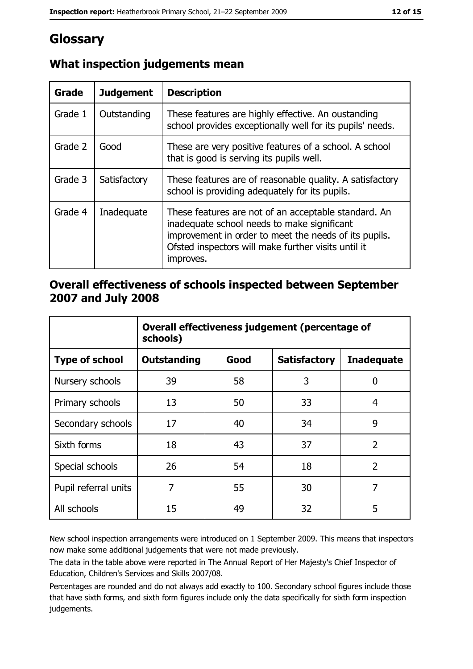# Glossary

| <b>Grade</b> | <b>Judgement</b> | <b>Description</b>                                                                                                                                                                                                               |  |
|--------------|------------------|----------------------------------------------------------------------------------------------------------------------------------------------------------------------------------------------------------------------------------|--|
| Grade 1      | Outstanding      | These features are highly effective. An oustanding<br>school provides exceptionally well for its pupils' needs.                                                                                                                  |  |
| Grade 2      | Good             | These are very positive features of a school. A school<br>that is good is serving its pupils well.                                                                                                                               |  |
| Grade 3      | Satisfactory     | These features are of reasonable quality. A satisfactory<br>school is providing adequately for its pupils.                                                                                                                       |  |
| Grade 4      | Inadequate       | These features are not of an acceptable standard. An<br>inadequate school needs to make significant<br>improvement in order to meet the needs of its pupils.<br>Ofsted inspectors will make further visits until it<br>improves. |  |

## What inspection judgements mean

## Overall effectiveness of schools inspected between September 2007 and July 2008

|                       | Overall effectiveness judgement (percentage of<br>schools) |      |                     |                   |
|-----------------------|------------------------------------------------------------|------|---------------------|-------------------|
| <b>Type of school</b> | <b>Outstanding</b>                                         | Good | <b>Satisfactory</b> | <b>Inadequate</b> |
| Nursery schools       | 39                                                         | 58   | 3                   | 0                 |
| Primary schools       | 13                                                         | 50   | 33                  | 4                 |
| Secondary schools     | 17                                                         | 40   | 34                  | 9                 |
| Sixth forms           | 18                                                         | 43   | 37                  | $\overline{2}$    |
| Special schools       | 26                                                         | 54   | 18                  | $\overline{2}$    |
| Pupil referral units  | 7                                                          | 55   | 30                  | 7                 |
| All schools           | 15                                                         | 49   | 32                  | 5                 |

New school inspection arrangements were introduced on 1 September 2009. This means that inspectors now make some additional judgements that were not made previously.

The data in the table above were reported in The Annual Report of Her Majesty's Chief Inspector of Education, Children's Services and Skills 2007/08.

Percentages are rounded and do not always add exactly to 100. Secondary school figures include those that have sixth forms, and sixth form figures include only the data specifically for sixth form inspection judgements.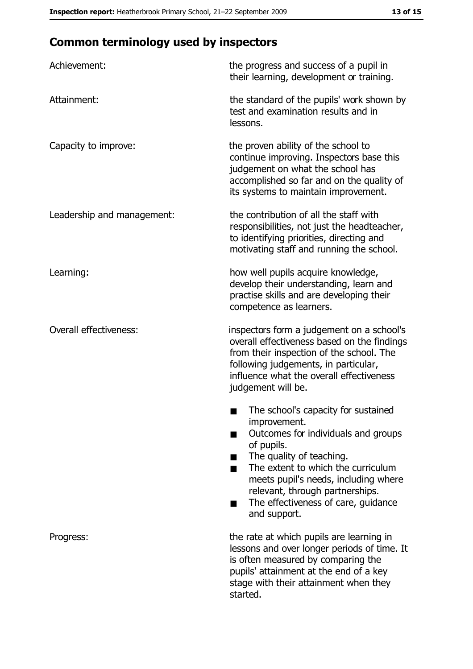# **Common terminology used by inspectors**

| Achievement:                  | the progress and success of a pupil in<br>their learning, development or training.                                                                                                                                                                                                                           |
|-------------------------------|--------------------------------------------------------------------------------------------------------------------------------------------------------------------------------------------------------------------------------------------------------------------------------------------------------------|
| Attainment:                   | the standard of the pupils' work shown by<br>test and examination results and in<br>lessons.                                                                                                                                                                                                                 |
| Capacity to improve:          | the proven ability of the school to<br>continue improving. Inspectors base this<br>judgement on what the school has<br>accomplished so far and on the quality of<br>its systems to maintain improvement.                                                                                                     |
| Leadership and management:    | the contribution of all the staff with<br>responsibilities, not just the headteacher,<br>to identifying priorities, directing and<br>motivating staff and running the school.                                                                                                                                |
| Learning:                     | how well pupils acquire knowledge,<br>develop their understanding, learn and<br>practise skills and are developing their<br>competence as learners.                                                                                                                                                          |
| <b>Overall effectiveness:</b> | inspectors form a judgement on a school's<br>overall effectiveness based on the findings<br>from their inspection of the school. The<br>following judgements, in particular,<br>influence what the overall effectiveness<br>judgement will be.                                                               |
|                               | The school's capacity for sustained<br>improvement.<br>Outcomes for individuals and groups<br>of pupils.<br>The quality of teaching.<br>The extent to which the curriculum<br>meets pupil's needs, including where<br>relevant, through partnerships.<br>The effectiveness of care, guidance<br>and support. |
| Progress:                     | the rate at which pupils are learning in<br>lessons and over longer periods of time. It<br>is often measured by comparing the<br>pupils' attainment at the end of a key<br>stage with their attainment when they<br>started.                                                                                 |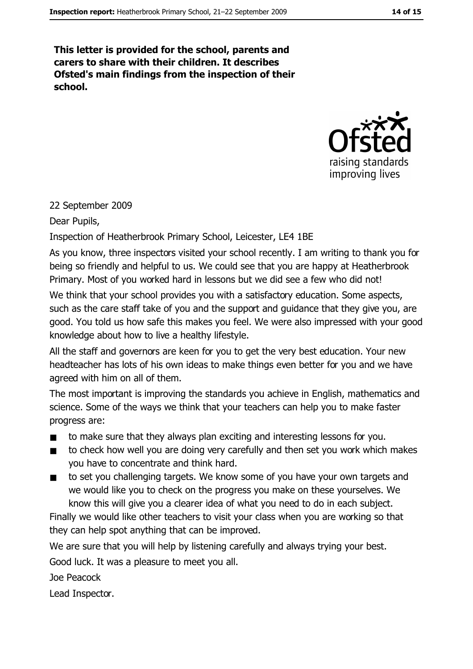This letter is provided for the school, parents and carers to share with their children. It describes Ofsted's main findings from the inspection of their school.



#### 22 September 2009

Dear Pupils,

Inspection of Heatherbrook Primary School, Leicester, LE4 1BE

As you know, three inspectors visited your school recently. I am writing to thank you for being so friendly and helpful to us. We could see that you are happy at Heatherbrook Primary. Most of you worked hard in lessons but we did see a few who did not!

We think that your school provides you with a satisfactory education. Some aspects, such as the care staff take of you and the support and quidance that they give you, are good. You told us how safe this makes you feel. We were also impressed with your good knowledge about how to live a healthy lifestyle.

All the staff and governors are keen for you to get the very best education. Your new headteacher has lots of his own ideas to make things even better for you and we have agreed with him on all of them.

The most important is improving the standards you achieve in English, mathematics and science. Some of the ways we think that your teachers can help you to make faster progress are:

- to make sure that they always plan exciting and interesting lessons for you.  $\blacksquare$
- to check how well you are doing very carefully and then set you work which makes  $\blacksquare$ you have to concentrate and think hard.
- to set you challenging targets. We know some of you have your own targets and  $\blacksquare$ we would like you to check on the progress you make on these yourselves. We know this will give you a clearer idea of what you need to do in each subject.

Finally we would like other teachers to visit your class when you are working so that they can help spot anything that can be improved.

We are sure that you will help by listening carefully and always trying your best.

Good luck. It was a pleasure to meet you all.

Joe Peacock

Lead Inspector.